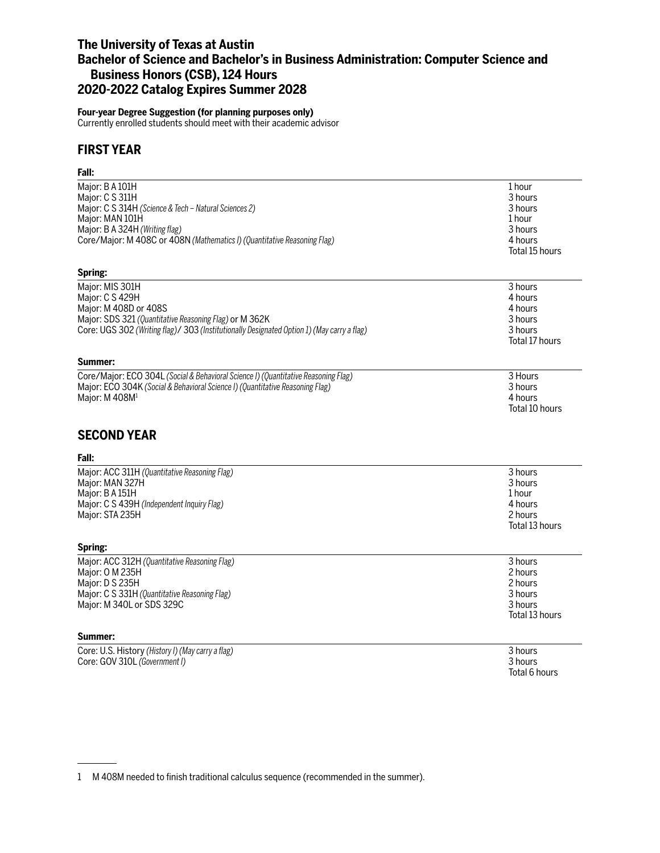## **The University of Texas at Austin Bachelor of Science and Bachelor's in Business Administration: Computer Science and Business Honors (CSB), 124 Hours 2020-2022 Catalog Expires Summer 2028**

## **Four-year Degree Suggestion (for planning purposes only)**

Currently enrolled students should meet with their academic advisor

## **FIRST YEAR**

## **Fall:**

| Major: B A 101H                                                                            | 1 hour         |
|--------------------------------------------------------------------------------------------|----------------|
| Major: C S 311H                                                                            | 3 hours        |
| Major: C S 314H (Science & Tech - Natural Sciences 2)                                      | 3 hours        |
| Major: MAN 101H                                                                            | 1 hour         |
| Major: B A 324H (Writing flag)                                                             | 3 hours        |
| Core/Major: M 408C or 408N (Mathematics I) (Quantitative Reasoning Flag)                   | 4 hours        |
|                                                                                            | Total 15 hours |
| Spring:                                                                                    |                |
| Major: MIS 301H                                                                            | 3 hours        |
| Major: C S 429H                                                                            | 4 hours        |
| Major: M 408D or 408S                                                                      | 4 hours        |
| Major: SDS 321 (Quantitative Reasoning Flag) or M 362K                                     | 3 hours        |
| Core: UGS 302 (Writing flag)/ 303 (Institutionally Designated Option 1) (May carry a flag) | 3 hours        |
|                                                                                            | Total 17 hours |
| Summer:                                                                                    |                |
| Core/Major: ECO 304L (Social & Behavioral Science I) (Quantitative Reasoning Flag)         | 3 Hours        |
| Major: ECO 304K (Social & Behavioral Science I) (Quantitative Reasoning Flag)              | 3 hours        |
| Major: M 408M <sup>1</sup>                                                                 | 4 hours        |
|                                                                                            | Total 10 hours |
|                                                                                            |                |
| <b>SECOND YEAR</b>                                                                         |                |
| Fall:                                                                                      |                |
| Major: ACC 311H (Quantitative Reasoning Flag)                                              | 3 hours        |
| Major: MAN 327H                                                                            | 3 hours        |
| Major: B A 151H                                                                            | 1 hour         |
| Major: C S 439H (Independent Inquiry Flag)                                                 | 4 hours        |
| Major: STA 235H                                                                            | 2 hours        |
|                                                                                            | Total 13 hours |
|                                                                                            |                |
| Spring:                                                                                    |                |
| Major: ACC 312H (Quantitative Reasoning Flag)                                              | 3 hours        |
| Major: 0 M 235H                                                                            | 2 hours        |
| Major: D S 235H                                                                            | 2 hours        |
| Major: C S 331H (Quantitative Reasoning Flag)                                              | 3 hours        |
| Major: M 340L or SDS 329C                                                                  | 3 hours        |
|                                                                                            | Total 13 hours |
| Summer:                                                                                    |                |
| Core: U.S. History (History I) (May carry a flag)                                          | 3 hours        |

Core: GOV 310L *(Government I)* 3 hours

Total 6 hours

<sup>1</sup> M 408M needed to finish traditional calculus sequence (recommended in the summer).